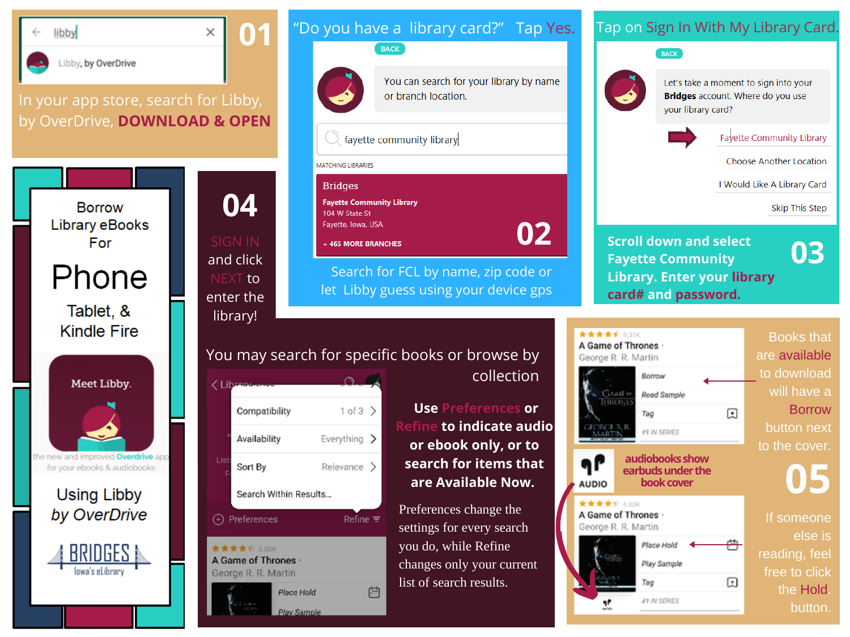

 $\times$ 

**04**

and click NEXT to enter the library!

#### In your app store, search for Libby, by OverDrive, **DOWNLOAD & OPEN**





# collection

**Use Preferences or Refine to indicate audio or ebook only, or to search for items that are Available Now.** Preferences change the

Search for FCL by name, zip code or let Libby guess using your device gps

"Do you have a library card?" Tap Yes.

or branch location.

You can search for your library by name

**BACK** 

 $\mathbb O$  favette community library

MATCHING LIBRARIES

104 W State St

Favette, Iowa, USA

+ 465 MORE BRANCHES

**Fayette Community Library** 

**Bridges** 

settings for every search you do, while Refine changes only your current list of search results.

**02**

### Tap on Sign In With My Library Card.



Let's take a moment to sign into your **Bridges** account. Where do you use vour library card?



**Fayette Community Library** 

Choose Another Location

I Would Like A Library Card

**Skip This Step** 

**Scroll down and select Fayette Community Library. Enter your library card# and password.**

**03**